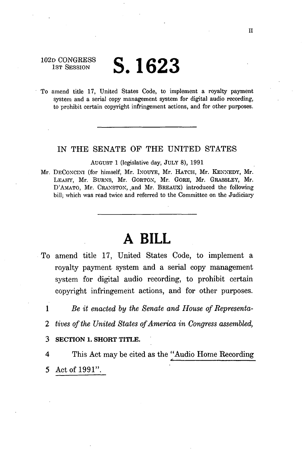102D CONGRESS 1ST SESSION

# **S.1623**

To amend title 17, United States Code, to implement a royalty payment system and a serial copy management system for digital audio recording, to prohibit certain copyright infringement actions, and for other purposes.

# IN THE SENATE OF THE UNITED STATES

AUGUST 1 (legislative day, JULY 8), 1991

Mr. DECONCINI (for himself, Mr. INOUYE, Mr. HATCH, Mr. KENNEDY, Mr. LEAHY, Mr. BURNS, Mr. GORTON, Mr. GORE, Mr. GRASSLEY, Mr. D'AMATO, Mr. CRANSTON, and Mr. BREAUX) introduced the following bill; which was read twice and referred to the Committee on the Judiciary

# **A BILL**

- To amend title 17, United States Code, to implement a royalty payment system and a serial copy management system for digital audio recording, to prohibit certain copyright infringement actions, and for other purposes.
	- 1 *Be it enacted by the Senate and House of Representa-*
	- *2 tives of the United States of America in Congress assembled,*
	- **3 SECTION 1. SHORT TITLE.**

4 This Act may be cited as the "Audio Home Recording" 5 Act of 1991".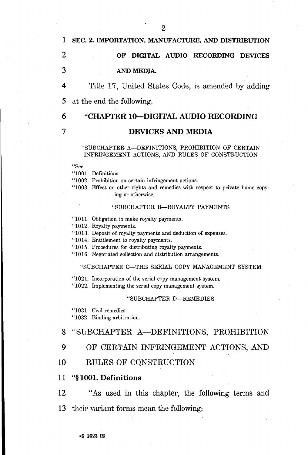# 1 SEC. 2. IMPORTATION, MANUFACTURE, AND DISTRIBUTION

# **2 OF DIGITAL AUDIO RECORDING DEVICES 3 AND MEDIA.**

4 Title 17, United States Code, is amended by adding

5 at the end the following:

# **6 "CHAPTER 10—DIGITAL AUDIO RECORDING**

# **7 DEVICES AND MEDIA**

#### "SUBCHAPTER A—DEFINITIONS, PROHIBITION OF CERTAIN INFRINGEMENT ACTIONS, AND RULES OF CONSTRUCTION

"Sec.

"1001. Definitions.

"1002. Prohibition on certain infringement actions.

"1003. Effect on other rights and remedies with respect to private home copying or otherwise.

#### "SUBCHAPTER B—ROYALTY PAYMENTS

"1011. Obligation to make royalty payments.

"1012. Royalty payments.

"1013. Deposit of royalty payments and deduction of expenses.

"1014. Entitlement to royalty payments.

"1015. Procedures for distributing royalty payments.

"1016. Negotiated collection and distribution arrangements.

#### "SUBCHAPTER C—THE SERIAL COPY MANAGEMENT SYSTEM

"1021. Incorporation of the serial copy management system.

"1022. Implementing the serial copy management system.

#### "SUBCHAPTER D—REMEDIES

"1031. Civil remedies.

"1032. Binding arbitration.

### 8 "SUBCHAPTER A—DEFINITIONS, PROHIBITION

# 9 OF CERTAIN INFRINGEMENT ACTIONS, AND

# 10 RULES OF CONSTRUCTION

# 11 **"§ 1001. Definitions**

**12** "As used in this chapter, the following terms and 13 their variant forms mean the following:

**•S 1623 is**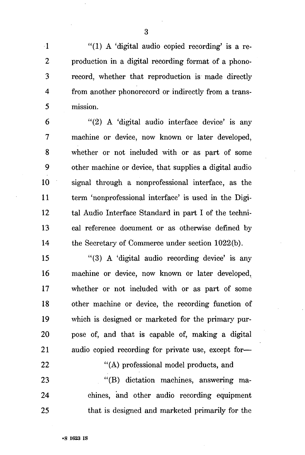1 "(1) A 'digital audio copied recording' is a re-2 production in a digital recording format of a phono-3 record, whether that reproduction is made directly 4 from another phonorecord or indirectly from a trans-5 mission.

 $6$  "(2) A 'digital audio interface device' is any 7 machine or device, now known or later developed, 8 whether or not included with or as part of some 9 other machine or device, that supplies a digital audio 10 signal through a nonprofessional interface, as the 11 term 'nonprofessional interface' is used in the Digi-12 tal Audio Interface Standard in part I of the techni-13 cal reference document or as otherwise defined by 14 the Secretary of Commerce under section 1022(b).

15 "(3) A 'digital audio recording device' is any 16 machine or device, now known or later developed, 17 whether or not included with or as part of some 18 other machine or device, the recording function of 19 which is designed or marketed for the primary pur-20 pose of, and that is capable of, making a digital 21 audio copied recording for private use, except for—

22 "(A) professional model products, and 23 "(B) dictation machines, answering ma-24 chines, and other audio recording equipment 25 that is designed and marketed primarily for the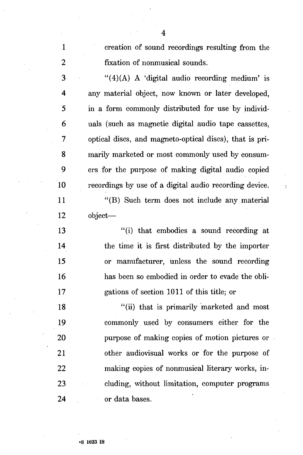1 creation of sound recordings resulting from the 2 fixation of nonmusical sounds.

 $3$  "(4)(A) A 'digital audio recording medium' is 4 any material object, now known or later developed, 5 in a form commonly distributed for use by individ-6 uals (such as magnetic digital audio tape cassettes, 7 optical discs, and magneto-optical discs), that is pri-8 marily marketed or most commonly used by consum-9 ers for the purpose of making digital audio copied 10 recordings by use of a digital audio recording device.

11 "(B) Such term does not include any material 12 object—

13 "(i) that embodies a sound recording at 14 the time it is first distributed by the importer 15 or manufacturer, unless the sound recording 16 has been so embodied in order to evade the obli-17 gations of section 1011 of this title; or

18 "(ii) that is primarily marketed and most 19 commonly used by consumers either for the 20 purpose of making copies of motion pictures or 21 other audiovisual works or for the purpose of 22 making copies of nonmusical literary works, in-23 eluding, without limitation, computer programs 24 or data bases.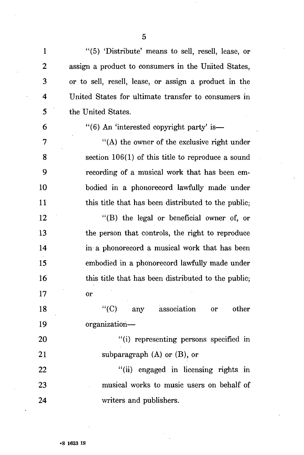1 "(5) 'Distribute' means to sell, resell, lease, or 2 assign a product to consumers in the United States, 3 or to sell, resell, lease, or assign a product in the 4 United States for ultimate transfer to consumers in 5 the United States.

# 6  $\frac{4}{6}$  (6) An 'interested copyright party' is —

7 "(A) the owner of the exclusive right under 8 section 106(1) of this title to reproduce a sound 9 recording of a musical work that has been em-10 bodied in a phonorecord lawfully made under 11 this title that has been distributed to the public;

12 "(B) the legal or beneficial owner of, or 13 the person that controls, the right to reproduce 14 in a phonorecord a musical work that has been 15 embodied in a phonorecord lawfully made under 16 this title that has been distributed to the public; 17 or

18 "(C) any association or other 19 organization—

20 "(i) representing persons specified in 21 subparagraph (A) or (B), or

22 "(ii) engaged in licensing rights in 23 musical works to music users on behalf of 24 writers and publishers.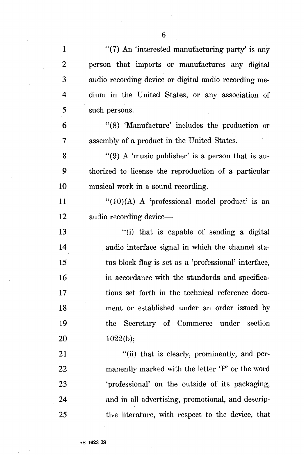1 "(7) An 'interested manufacturing party' is any 2 person that imports or manufactures any digital 3 audio recording device or digital audio recording me-4 dium in the United States, or any association of 5 such persons. 6 "(8) 'Manufacture' includes the production or 7 assembly of a product in the United States. 8 "(9) A 'music publisher' is a person that is au-9 thorized to license the reproduction of a particular 10 musical work in a sound recording. 11  $\frac{1}{10}$  (10)(A) A 'professional model product' is an 12 audio recording device— 13 "(i) that is capable of sending a digital 14 audio interface signal in which the channel sta-15 tus block flag is set as a 'professional' interface, 16 in accordance with the standards and specifica-17 tions set forth in the technical reference docu-18 ment or established under an order issued by 19 the Secretary of Commerce under section 20 1022(b); 21 "(ii) that is clearly, prominently, and per-22 manently marked with the letter 'P' or the word 23 'professional' on the outside of its packaging, 24 and in all advertising, promotional, and descrip-

25 tive literature, with respect to the device, that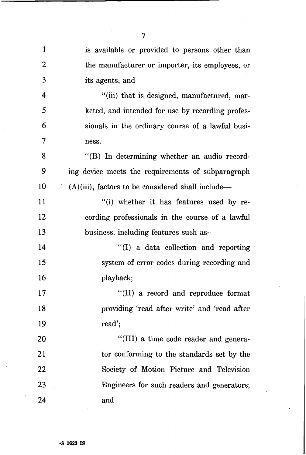| $\mathbf{1}$ | is available or provided to persons other than       |
|--------------|------------------------------------------------------|
| 2            | the manufacturer or importer, its employees, or      |
| 3            | its agents; and                                      |
| 4            | "(iii) that is designed, manufactured, mar-          |
| 5            | keted, and intended for use by recording profes-     |
| 6            | sionals in the ordinary course of a lawful busi-     |
| 7            | ness.                                                |
| 8            | "(B) In determining whether an audio record-         |
| 9            | ing device meets the requirements of subparagraph    |
| 10           | $(A)(iii)$ , factors to be considered shall include— |
| 11           | "(i) whether it has features used by re-             |
| 12           | cording professionals in the course of a lawful      |
| 13           | business, including features such as-                |
| 14           | "(I) a data collection and reporting                 |
| 15           | system of error codes during recording and           |
| 16           | playback;                                            |
| 17           | "(II) a record and reproduce format                  |
| 18           | providing 'read after write' and 'read after         |
| 19           | read';                                               |
| 20           | "(III) a time code reader and genera-                |
| 21           | tor conforming to the standards set by the           |
| 22           | Society of Motion Picture and Television             |
| 23           | Engineers for such readers and generators;           |
| 24           | and                                                  |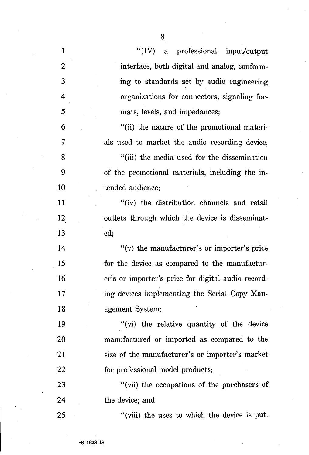| $\mathbf{1}$            | "(IV) a professional input/output                  |
|-------------------------|----------------------------------------------------|
| $\mathbf{2}$            | interface, both digital and analog, conform-       |
| 3                       | ing to standards set by audio engineering          |
| $\overline{\mathbf{4}}$ | organizations for connectors, signaling for-       |
| 5                       | mats, levels, and impedances;                      |
| 6                       | "(ii) the nature of the promotional materi-        |
| 7                       | als used to market the audio recording device;     |
| 8                       | "(iii) the media used for the dissemination        |
| 9                       | of the promotional materials, including the in-    |
| 10                      | tended audience;                                   |
| 11                      | "(iv) the distribution channels and retail         |
| 12                      | outlets through which the device is disseminat-    |
| 13                      | ed;                                                |
| 14                      | "(v) the manufacturer's or importer's price        |
| 15                      | for the device as compared to the manufactur-      |
| 16                      | er's or importer's price for digital audio record- |
| 17                      | ing devices implementing the Serial Copy Man-      |
| 18                      | agement System;                                    |
| 19                      | "(vi) the relative quantity of the device"         |
| 20                      | manufactured or imported as compared to the        |
| 21                      | size of the manufacturer's or importer's market    |
| 22                      | for professional model products;                   |
| 23                      | "(vii) the occupations of the purchasers of        |
| 24                      | the device; and                                    |
| 25                      | "(viii) the uses to which the device is put.       |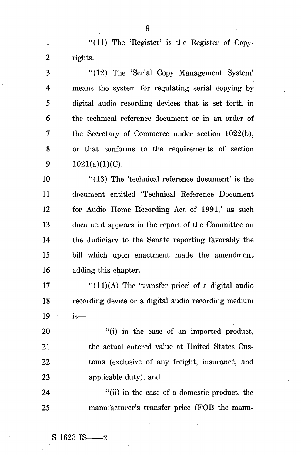1 "(11) The 'Register' is the Register of Copy-2 rights.

3 "(12) The 'Serial Copy Management System' 4 means the system for regulating serial copying by 5 digital audio recording devices that is set forth in 6 the technical reference document or in an order of 7 the Secretary of Commerce under section 1022(b), 8 or that conforms to the requirements of section 9  $1021(a)(1)(C)$ .

10 "(13) The 'technical reference document' is the 11 document entitled 'Technical Reference Document 12 for Audio Home Recording Act of 1991,' as such 13 document appears in the report of the Committee on 14 the Judiciary to the Senate reporting favorably the 15 bill which upon enactment made the amendment 16 adding this chapter.

17  $\frac{17}{2}$  (14)(A) The 'transfer price' of a digital audio 18 recording device or a digital audio recording medium 19 is—

20 "(i) in the case of an imported product, 21 the actual entered value at United States Cus-22 toms (exclusive of any freight, insurance, and 23 applicable duty), and

24 "(ii) in the case of a domestic product, the 25 manufacturer's transfer price (FOB the manu-

 $S$  1623 IS  $-2$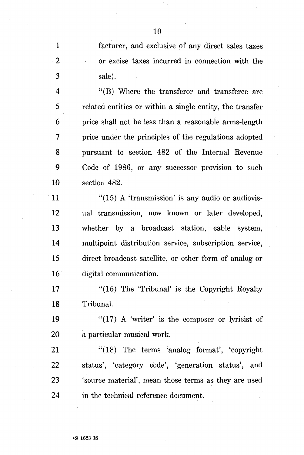1 facturer, and exclusive of any direct sales taxes 2 or excise taxes incurred in connection with the 3 sale).

4 "(B) Where the transferor and transferee are 5 related entities or within a single entity, the transfer 6 price shall not be less than a reasonable arms-length 7 price under the principles of the regulations adopted 8 pursuant to section 482 of the Internal Revenue 9 Code of 1986, or any successor provision to such 10 section 482.

 $11$  "(15) A 'transmission' is any audio or audiovis-12 ual transmission, now known or later developed, 13 whether by a broadcast station, cable system, 14 multipoint distribution service, subscription service, 15 direct broadcast satellite, or other form of analog or 16 digital communication.

17 "(16) The 'Tribunal' is the Copyright Royalty 18 Tribunal.

19  $"$ (17) A 'writer' is the composer or lyricist of 20 a particular musical work.

21 "(18) The terms 'analog format', 'copyright 22 status', 'category code', 'generation status', and 23 'source material', mean those terms as they are used 24 in the technical reference document.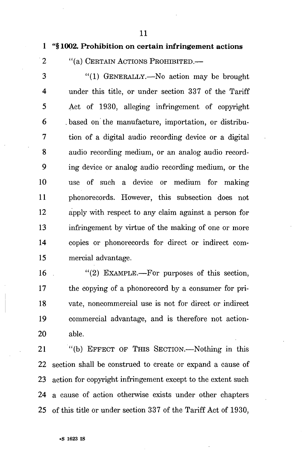11

# 1 "§ 1002. Prohibition on certain infringement actions

2 "(a) CERTAIN ACTIONS PROHIBITED.

3 "(1) GENERALLY.—No action may be brought 4 under this title, or under section 337 of the Tariff 5 Act of 1930, alleging infringement of copyright 6 .based on the manufacture, importation, or distribu-7 tion of a digital audio recording device or a digital 8 audio recording medium, or an analog audio record-9 ing device or analog audio recording medium, or the 10 use of such a device or medium for making 11 phonorecords. However, this subsection does not 12 apply with respect to any claim against a person for 13 infringement by virtue of the making of one or more 14 copies or phonorecords for direct or indirect com-15 mercial advantage.

16  $\cdot$  (2) EXAMPLE.—For purposes of this section, 17 the copying of a phonorecord by a consumer for pri-18 vate, noncommercial use is not for direct or indirect 19 commercial advantage, and is therefore not action-20 able.

21 "(b) EFFECT OF THIS SECTION.—Nothing in this 22 section shall be construed to create or expand a cause of 23 action for copyright infringement except to the extent such 24 a cause of action otherwise exists under other chapters 25 of this title or under section 337 of the Tariff Act of 1930,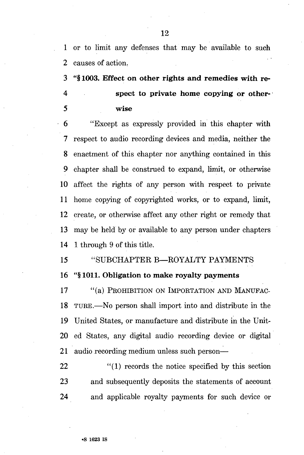1 or to limit any defenses that may be available to such 2 causes of action.

3 **"§1003. Effect on other rights and remedies with re-4 spect to private home copying or other-5 wise** 

**6** "Except as expressly provided in this chapter with 7 respect to audio recording devices and media, neither the 8 enactment of this chapter nor anything contained in this 9 chapter shall be construed to expand, limit, or otherwise 10 affect the rights of any person with respect to private 11 home copying of copyrighted works, or to expand, limit, 12 create, or otherwise affect any other right or remedy that 13 may be held by or available to any person under chapters 14 1 through 9 of this title.

15 "SUBCHAPTER B—ROYALTY PAYMENTS 16 **"§ 1011. Obligation to make royalty payments** 

**17** "(a) PROHIBITION ON IMPORTATION AND MANUFAC-18 TURE.—No person shall import into and distribute in the 19 United States, or manufacture and distribute in the Unit-20 ed States, any digital audio recording device or digital 21 audio recording medium unless such person—

22 "(1) records the notice specified by this section 23 and subsequently deposits the statements of account 24 and applicable royalty payments for such device or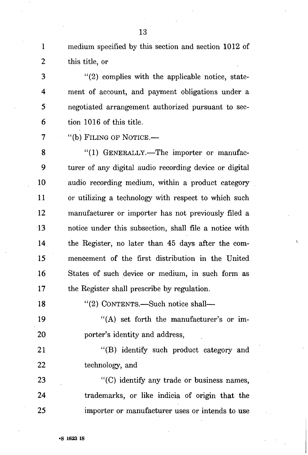1 medium specified by this section and section 1012 of 2 this title, or

3 "(2) complies with the applicable notice, state-4 ment of account, and payment obligations under a 5 negotiated arrangement authorized pursuant to sec-6 tion 1016 of this title.

7 "(b) FILING OF NOTICE.—

8 "(1) GENERALLY.—The importer or manufac-9 turer of any digital audio recording device or digital 10 audio recording medium, within a product category 11 or utilizing a technology with respect to which such 12 manufacturer or importer has not previously filed a 13 notice under this subsection, shall file a notice with 14 the Register, no later than 45 days after the com-15 mencement of the first distribution in the United 16 States of such device or medium, in such form as 17 the Register shall prescribe by regulation.

18 "(2) CONTENTS.—Such notice shall—

19 "(A) set forth the manufacturer's or im-20 porter's identity and address,

21 "(B) identify such product category and 22 technology, and

23 "(C) identify any trade or business names, 24 trademarks, or like indicia of origin that the 25 importer or manufacturer uses or intends to use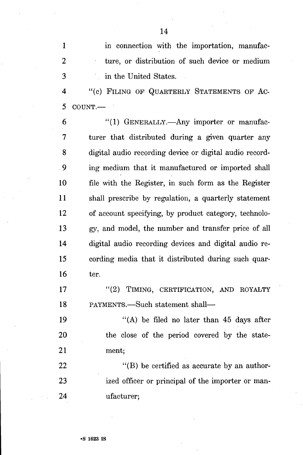1 in connection with the importation, manufac-2 ture, or distribution of such device or medium 3 in the United States. 4 "(c) FILING OF QUARTERLY STATEMENTS OF AC-5 COUNT.— 6 "(1) GENERALLY.—Any importer or manufac-7 turer that distributed during a given quarter any 8 digital audio recording device or digital audio record-9 ing medium that it manufactured or imported shall 10 file with the Register, in such form as the Register 11 shall prescribe by regulation, a quarterly statement 12 of account specifying, by product category, technolo-13 gy, and model, the number and transfer price of all 14 digital audio recording devices and digital audio re-15 cording media that it distributed during such quar-16 ter.

17 "(2) TIMING, CERTIFICATION, AND ROYALTY 18 PAYMENTS.—Such statement shall—

19  $((A)$  be filed no later than 45 days after 20 the close of the period covered by the state-21 ment;

22 "(B) be certified as accurate by an author-23 ized officer or principal of the importer or man-24 ufacturer;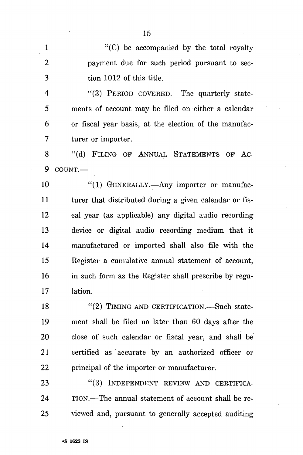1 "(C) be accompanied by the total royalty 2 payment due for such period pursuant to sec-3 tion 1012 of this title.

4 "(3) PERIOD COVERED.—The quarterly state-5 ments of account may be filed on either a calendar 6 or fiscal year basis, at the election of the manufac-7 turer or importer.

8 "(d) FILING OF ANNUAL STATEMENTS OF AC-9 COUNT.—

10 "(1) GENERALLY.—Any importer or manufac-11 turer that distributed during a given calendar or fis-12 cal year (as applicable) any digital audio recording 13 device or digital audio recording medium that it 14 manufactured or imported shall also file with the 15 Register a cumulative annual statement of account, 16 in such form as the Register shall prescribe by regu-17 lation.

18 "(2) TIMING AND CERTIFICATION.—Such state-19 ment shall be filed no later than 60 days after the 20 close of such calendar or fiscal year, and shall be 21 certified as accurate by an authorized officer or 22 principal of the importer or manufacturer.

23 "(3) INDEPENDENT REVIEW AND CERTIFICA-24 TION.—The annual statement of account shall be re-25 viewed and, pursuant to generally accepted auditing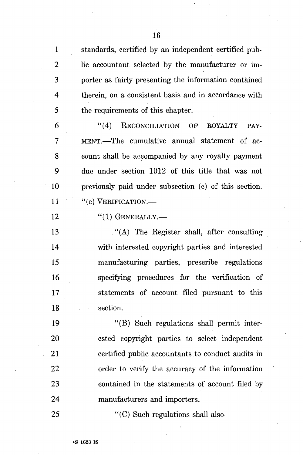1 standards, certified by an independent certified pub-2 lie accountant selected by the manufacturer or im-3 porter as fairly presenting the information contained 4 therein, on a consistent basis and in accordance with 5 the requirements of this chapter.

6 "(4) RECONCILIATION OF ROYALTY PAY-7 MENT.—The cumulative annual statement of ac-8 count shall be accompanied by any royalty payment 9 due under section 1012 of this title that was not 10 previously paid under subsection (c) of this section.  $11$  "(e) VERIFICATION.—

12 "(1) GENERALLY.—

13 ."(A) The Register shall, after consulting 14 with interested copyright parties and interested 15 manufacturing parties, prescribe regulations 16 specifying procedures for the verification of 17 statements of account filed pursuant to this 18 section.

19 "(B) Such regulations shall permit inter-20 ested copyright parties to select independent 21 certified public accountants to conduct audits in 22 order to verify the accuracy of the information 23 contained in the statements of account filed by 24 manufacturers and importers.

25 "(C) Such regulations shall also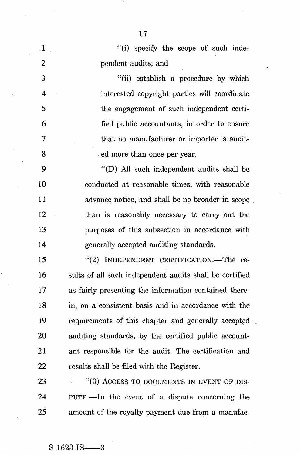| $\cdot$ 1               | "(i) specify the scope of such inde-                    |
|-------------------------|---------------------------------------------------------|
| $\overline{2}$          | pendent audits; and                                     |
| 3                       | "(ii) establish a procedure by which                    |
| $\overline{\mathbf{4}}$ | interested copyright parties will coordinate            |
| 5                       | the engagement of such independent certi-               |
| 6                       | fied public accountants, in order to ensure             |
| 7                       | that no manufacturer or importer is audit-              |
| 8                       | ed more than once per year.                             |
| 9                       | "(D) All such independent audits shall be               |
| 10                      | conducted at reasonable times, with reasonable          |
| 11                      | advance notice, and shall be no broader in scope        |
| 12                      | than is reasonably necessary to carry out the           |
| 13                      | purposes of this subsection in accordance with          |
| 14                      | generally accepted auditing standards.                  |
| 15                      | "(2) INDEPENDENT CERTIFICATION.-The re-                 |
| 16                      | sults of all such independent audits shall be certified |
| 17                      | as fairly presenting the information contained there-   |
| 18                      | in, on a consistent basis and in accordance with the    |
| 19                      | requirements of this chapter and generally accepted     |
| 20                      | auditing standards, by the certified public account-    |
| 21                      | ant responsible for the audit. The certification and    |
| 22                      | results shall be filed with the Register.               |
| 23                      | $"$ (3) ACCESS TO DOCUMENTS IN EVENT OF DIS-            |
| 24                      | PUTE.—In the event of a dispute concerning the          |

25 amount of the royalty payment due from a manufac-

Ň

17

 $\sim$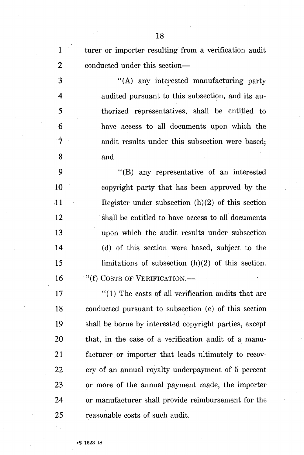1 turer or importer resulting from a verification audit 2 conducted under this section— 3 "(A) any interested manufacturing party 4 audited pursuant to this subsection, and its au-5 thorized representatives, shall be entitled to 6 have access to all documents upon which the 7 audit results under this subsection were based; 8 and 9 "(B) any representative of an interested 10 ' copyright party that has been approved by the 11 Register under subsection (h)(2) of this section 12 shall be entitled to have access to all documents 13 upon which the audit results under subsection 14 (d) of this section were based, subject to the

16 <sup>(i)</sup>(f) COSTS OF VERIFICATION.—

17 "(1) The costs of all verification audits that are 18 conducted pursuant to subsection (e) of this section 19 shall be borne by interested copyright parties, except 20 that, in the case of a verification audit of a manu-21 facturer or importer that leads ultimately to recov-22 ery of an annual royalty underpayment of 5 percent 23 or more of the annual payment made, the importer 24 or manufacturer shall provide reimbursement for the 25 reasonable costs of such audit.

15 limitations of subsection (h)(2) of this section.

•S 1623 is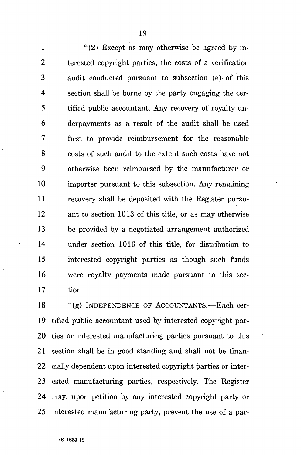1 "(2) Except as may otherwise be agreed by in-2 terested copyright parties, the costs of a verification 3 audit conducted pursuant to subsection (e) of this 4 section shall be borne by the party engaging the cer-5 tified public accountant. Any recovery of royalty un-6 derpayments as a result of the audit shall be used 7 first to provide reimbursement for the reasonable 8 costs of such audit to the extent such costs have not 9 otherwise been reimbursed by the manufacturer or 10 importer pursuant to this subsection. Any remaining 11 recovery shall be deposited with the Register pursu-12 ant to section 1013 of this title, or as may otherwise 13 be provided by a negotiated arrangement authorized 14 under section 1016 of this title, for distribution to 15 interested copyright parties as though such funds 16 were royalty payments made pursuant to this sec-17 tion.

18 "(g) INDEPENDENCE OF ACCOUNTANTS.—Each cer-19 tified public accountant used by interested copyright par-20 ties or interested manufacturing parties pursuant to this 21 section shall be in good standing and shall not be finan-22 cially dependent upon interested copyright parties or inter-23 ested manufacturing. parties, respectively. The Register 24 may, upon petition by any interested copyright party or 25 interested manufacturing party, prevent the use of a par-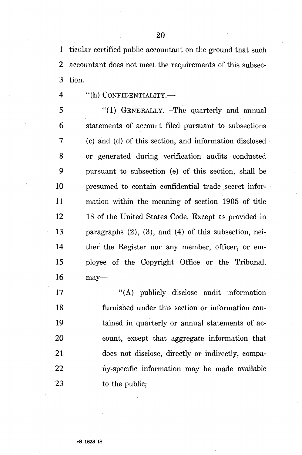1 ticular certified public accountant on the ground that such 2 accountant does not meet the requirements of this subsec-3 tion.

4 "(h) CONFIDENTIALITY.—

5 "(1) GENERALLY.—The quarterly and annual 6 statements of account filed pursuant to subsections 7 (c) and (d) of this section, and information disclosed 8 or generated during verification audits conducted 9 pursuant to subsection (e) of this section, shall be 10 presumed to contain confidential trade secret infor-11 mation within the meaning of section 1905 of title 12 18 of the United States Code. Except as provided in 13 paragraphs (2), (3), and (4) of this subsection, nei-14 ther the Register nor any member, officer, or em-15 ployee of the Copyright Office or the Tribunal, 16 may—

17 "(A) publicly disclose audit information 18 furnished under this section or information con-19 tained in quarterly or annual statements of ac-20 count, except that aggregate information that 21 does not disclose, directly or indirectly, compa-22 ny-specific information may be made available 23 to the public;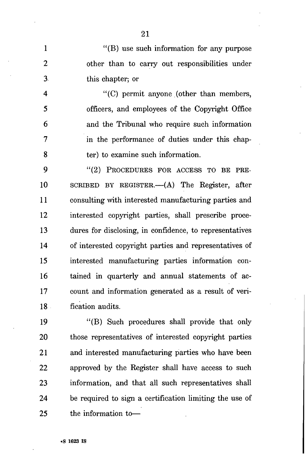1 "(B) use such information for any purpose 2 other than to carry out responsibilities under 3 this chapter; or

4 "(C) permit anyone (other than members, 5 officers, and employees of the Copyright Office 6 and the Tribunal who require such information 7 in the performance of duties under this chap-8 ter) to examine such information.

9 "(2) PROCEDURES FOR ACCESS TO BE PRE-10 SCRIBED BY REGISTER.—(A) The Register, after 11 consulting with interested manufacturing parties and 12 interested copyright parties, shall prescribe proce-13 dures for disclosing, in confidence, to representatives 14 of interested copyright parties and representatives of 15 interested manufacturing parties information con-16 tained in quarterly and annual statements of ac-17 count and information generated as a result of veri-18 fication audits.

19 "(B) Such procedures shall provide that only 20 those representatives of interested copyright parties 21 and interested manufacturing parties who have been 22 approved by the Register shall have access to such 23 information, and that all such representatives shall 24 be required to sign a certification limiting the use of 25 the information to—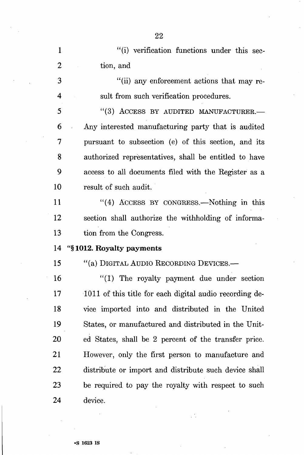1 "(i) verification functions under this sec-2 tion, and 3 "(ii) any enforcement actions that may re-4 suit from such verification procedures. 5 "(3) ACCESS BY AUDITED MANUFACTURER.— 6 Any interested manufacturing party that is audited 7 pursuant to subsection (e) of this section, and its 8 authorized representatives, shall be entitled to have 9 access to all documents filed with the Register as a 10 result of such audit. 11 "(4) ACCESS BY CONGRESS.—Nothing in this 12 section shall authorize the withholding of informa-13 tion from the Congress. **14 "§ 1012. Royalty payments 15** "(a) DIGITAL AUDIO RECORDING DEVICES.— 16 "(1) The royalty payment due under section 17 1011 of this title for each digital audio recording de-18 vice imported into and distributed in the United 19 States, or manufactured and distributed in the Unit-20 ed States, shall be 2 percent of the transfer price. 21 However, only the first person to manufacture and 22 distribute or import and distribute such device shall 23 be required to pay the royalty with respect to such 24 device.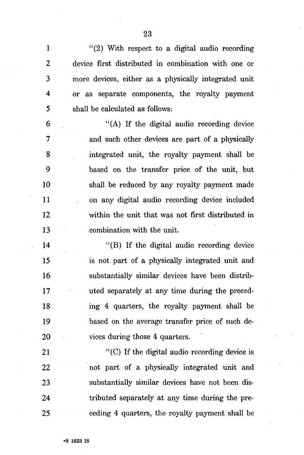$(2)$  With respect to a digital audio recording 2 device first distributed in combination with one or 3 more devices, either as a physically integrated unit 4 or as separate components, the royalty payment 5 shall be calculated as follows:

6 "(A) If the digital audio recording device 7 and such other devices are part of a physically 8 integrated unit, the royalty payment shall be 9 based on the transfer price of the unit, but 10 shall be reduced by any royalty payment made 11 on any digital audio recording device included 12 within the unit that was not first distributed in 13 combination with the unit.

14 "(B) If the digital audio recording device 15 is not part of a physically integrated unit and 16 substantially similar devices have been distrib-17 uted separately at any time during the preced-18 ing 4 quarters, the royalty payment shall be 19 based on the average transfer price of such de-20 vices during those 4 quarters.

21 "(C) If the digital audio recording device is 22 not part of a physically integrated unit and 23 substantially similar devices have not been dis-24 tributed separately at any time during the pre-25 ceding 4 quarters, the royalty payment shall be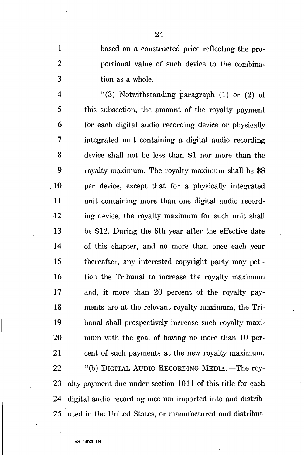1 based on a constructed price reflecting the pro-2 portional value of such device to the combina-3 tion as a whole.

4  $(3)$  Notwithstanding paragraph (1) or (2) of 5 this subsection, the amount of the royalty payment 6 for each digital audio recording device or physically 7 integrated unit containing a digital audio recording 8 device shall not be less than \$1 nor more than the 9 royalty maximum. The royalty maximum shall be \$8 10 per device, except that for a physically integrated 11 unit containing more than one digital audio record-12 ing device, the royalty maximum for such unit shall 13 be \$12. During the 6th year after the effective date 14 of this chapter, and no more than once each year 15 thereafter, any interested copyright party may peti-16 tion the Tribunal to increase the royalty maximum 17 and, if more than 20 percent of the royalty pay-18 ments are at the relevant royalty maximum, the Tri-19 bunal shall prospectively increase such royalty maxi-20 mum with the goal of having no more than 10 per-21 cent of such payments at the new royalty maximum. 22 "(b) DIGITAL AUDIO RECORDING MEDIA.—The roy-23 alty payment due under section 1011 of this title for each 24 digital audio recording medium imported into and distrib-25 uted in the United States, or manufactured and distribut-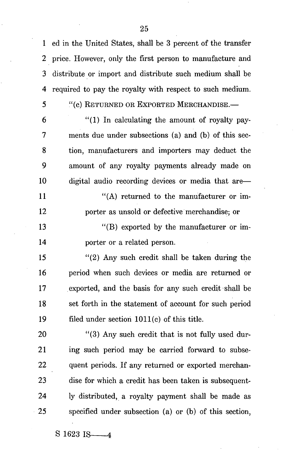1 ed in the United States, shall be 3 percent of the transfer 2 price. However, only the first person to manufacture and 3 distribute or import and distribute such medium shall be 4 required to pay the royalty with respect to such medium.

5 "(c) RETURNED OR EXPORTED MERCHANDISE.—

 $6$  "(1) In calculating the amount of royalty pay-7 ments due under subsections (a) and (b) of this sec-8 tion, manufacturers and importers may deduct the 9 amount of any royalty payments already made on 10 digital audio recording devices or media that are— 11 "(A) returned to the manufacturer or im-12 porter as unsold or defective merchandise; or

13 "(B) exported by the manufacturer or im-14 porter or a related person.

15 "(2) Any such credit shall be taken during the 16 period when such devices or media are returned or 17 exported, and the basis for any such credit shall be 18 set forth in the statement of account for such period 19 filed under section 1011(c) of this title.

20 "(3) Any such credit that is not fully used dur-21 ing such period may be carried forward to subse-22 quent periods. If any returned or exported merchan-23 dise for which a credit has been taken is subsequent-24 ly distributed, a royalty payment shall be made as 25 specified under subsection (a) or (b) of this section,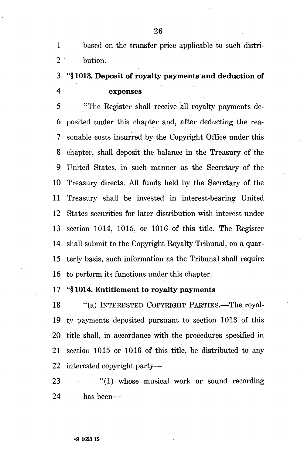1 based on the transfer price applicable to such distri-2 bution.

# 3 "§ 1013. Deposit of royalty payments and deduction of 4 expenses

5 "The Register shall receive all royalty payments de-6 posited under this chapter and, after deducting the rea-7 sonable costs incurred by the Copyright Office under this 8 chapter, shall deposit the balance in the Treasury of the 9 United States, in such manner as the Secretary of the 10 Treasury directs. All funds held by the Secretary of the 11 Treasury shall be invested in interest-bearing United 12 States securities for later distribution with interest under 13 section 1014, 1015, or 1016 of this title. The Register 14 shall submit to the Copyright Royalty Tribunal, on a quar-15 terly basis, such information as the Tribunal shall require 16 to perform its functions under this chapter.

# 17 "§ 1014. Entitlement to royalty payments

18 "(a) INTERESTED COPYRIGHT PARTIES.—The royal-19 ty payments deposited pursuant to section 1013 of this 20 title shall, in accordance with the procedures specified in 21 section 1015 or 1016 of this title, be distributed to any 22 interested copyright party—

23 "(1) whose musical work or sound recording 24 has been—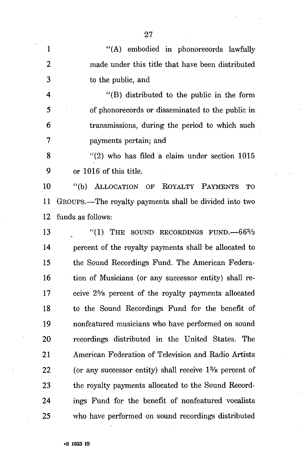| $\mathbf{1}$            | "(A) embodied in phonorecords lawfully                                        |
|-------------------------|-------------------------------------------------------------------------------|
| $\overline{2}$          | made under this title that have been distributed                              |
| 3                       | to the public, and                                                            |
| $\overline{\mathbf{4}}$ | $\lq$ (B) distributed to the public in the form                               |
| 5                       | of phonorecords or disseminated to the public in                              |
| 6                       | transmissions, during the period to which such                                |
| 7                       | payments pertain; and                                                         |
| 8                       | $''(2)$ who has filed a claim under section 1015                              |
| $\cdot$ 9               | or 1016 of this title.                                                        |
| 10                      | "(b) ALLOCATION OF ROYALTY PAYMENTS<br><b>TO</b>                              |
| 11                      | GROUPS.—The royalty payments shall be divided into two                        |
| 12                      | funds as follows:                                                             |
| 13                      | "(1) THE SOUND RECORDINGS FUND. $-66\frac{2}{3}$                              |
| 14                      | percent of the royalty payments shall be allocated to                         |
| 15                      | the Sound Recordings Fund. The American Federa-                               |
| 16                      | tion of Musicians (or any successor entity) shall re-                         |
| 17                      | ceive 2 <sup>5</sup> / <sub>8</sub> percent of the royalty payments allocated |
| 18                      | to the Sound Recordings Fund for the benefit of                               |
| 19                      | nonfeatured musicians who have performed on sound                             |
| 20                      | recordings distributed in the United States. The                              |
| 21                      | American Federation of Television and Radio Artists                           |
| 22                      | (or any successor entity) shall receive $1\%$ percent of                      |
| 23                      | the royalty payments allocated to the Sound Record-                           |
| 24                      | ings Fund for the benefit of nonfeatured vocalists                            |
| 25                      | who have performed on sound recordings distributed                            |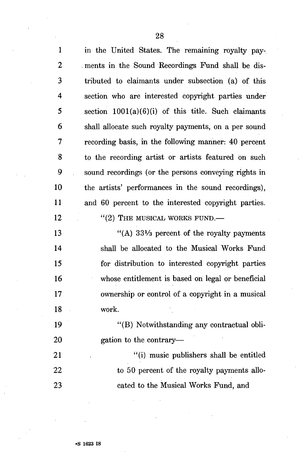| $\mathbf{1}$            | in the United States. The remaining royalty pay-      |
|-------------------------|-------------------------------------------------------|
| $\boldsymbol{2}$        | ments in the Sound Recordings Fund shall be dis-      |
| 3                       | tributed to claimants under subsection (a) of this    |
| $\overline{\mathbf{4}}$ | section who are interested copyright parties under    |
| 5                       | section $1001(a)(6)(i)$ of this title. Such claimants |
| 6                       | shall allocate such royalty payments, on a per sound  |
| $\overline{7}$          | recording basis, in the following manner: 40 percent  |
| 8                       | to the recording artist or artists featured on such   |
| 9                       | sound recordings (or the persons conveying rights in  |
| 10                      | the artists' performances in the sound recordings),   |
| 11                      | and 60 percent to the interested copyright parties.   |
| 12                      | $"$ (2) THE MUSICAL WORKS FUND.—                      |
| 13                      | "(A) $33\frac{1}{3}$ percent of the royalty payments  |
| 14                      | shall be allocated to the Musical Works Fund          |
| 15                      | for distribution to interested copyright parties      |
| 16                      | whose entitlement is based on legal or beneficial     |
| 17                      | ownership or control of a copyright in a musical      |
| 18                      | work.                                                 |
| 19                      | "(B) Notwithstanding any contractual obli-            |
| 20                      | gation to the contrary—                               |
| 21                      | "(i) music publishers shall be entitled               |
| 22                      | to 50 percent of the royalty payments allo-           |
| 23                      | cated to the Musical Works Fund, and                  |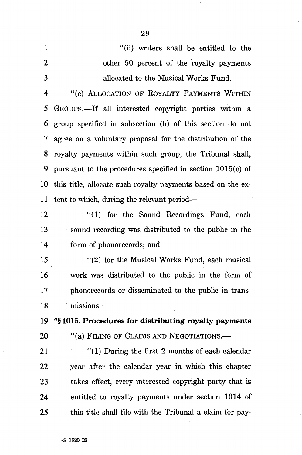1 "(ii) writers shall be entitled to the 2 other 50 percent of the royalty payments 3 allocated to the Musical Works Fund.

4 "(c) ALLOCATION OF ROYALTY PAYMENTS WITHIN 5 GROUPS.—If all interested copyright parties within a 6 group specified in subsection (b) of this section do not 7 agree on a voluntary proposal for the distribution of the 8 royalty payments within such group, the Tribunal shall, 9 pursuant to the procedures specified in section 1015(c) of 10 this title, allocate such royalty payments based on the ex-11 tent to which, during the relevant period—

12 "(1) for the Sound Recordings Fund, each 13 sound recording was distributed to the public in the 14 form of phonorecords; and

15 "(2) for the Musical Works Fund, each musical 16 work was distributed to the public in the form of 17 phonorecords or disseminated to the public in trans-18 missions.

19 "§ 1015. Procedures for distributing royalty payments 20 "(a) FILING OF CLAIMS AND NEGOTIATIONS.—

21 "(1) During the first 2 months of each calendar 22 year after the calendar year in which this chapter 23 takes effect, every interested copyright party that is 24 entitled to royalty payments under section 1014 of 25 this title shall file with the Tribunal a claim for pay-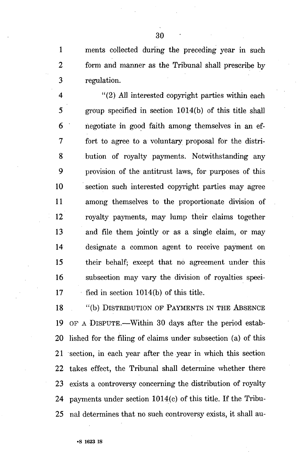1 ments collected during the preceding year in such 2 form and manner as the Tribunal shall prescribe by 3 regulation.

4 "(2) All interested copyright parties within each 5 group specified in section 1014(b) of this title shall 6 negotiate in good faith among themselves in an ef-7 fort to agree to a voluntary proposal for the distri-8 bution of royalty payments. Notwithstanding any 9 provision of the antitrust laws, for purposes of this 10 section such interested copyright parties may agree 11 among themselves to the proportionate division of 12 royalty payments, may lump their claims together 13 and file them jointly or as a single claim, or may 14 designate a common agent to receive payment on 15 their behalf; except that no agreement under this 16 subsection may vary the division of royalties speci- $17$  fied in section 1014(b) of this title.

18 "(b) DISTRIBUTION OF PAYMENTS IN THE ABSENCE 19 OF A DISPUTE.—Within 30 days after the period estab-20 lished for the filing of claims under subsection (a) of this 21 section, in each year after the year in which this section 22 takes effect, the Tribunal shall determine whether there 23 exists a controversy concerning the distribution of royalty 24 payments under section 1014(c) of this title. If the Tribu-25 nal determines that no such controversy exists, it shall au-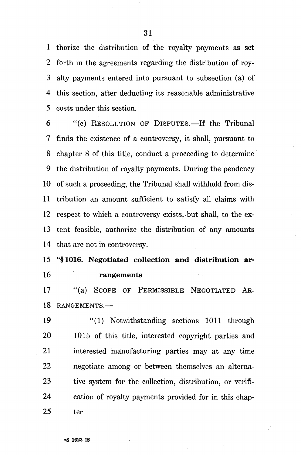1 thorize the distribution of the royalty payments as set 2 forth in the agreements regarding the distribution of roy-3 alty payments entered into pursuant to subsection (a) of 4 this section, after deducting its reasonable administrative 5 costs under this section.

6 "(c) RESOLUTION OF DISPUTES.—If the Tribunal 7 finds the existence of a controversy, it shall, pursuant to 8 chapter 8 of this title, conduct a proceeding to determine 9 the distribution of royalty payments. During the pendency 10 of such a proceeding, the Tribunal shall withhold from dis-11 tribution an amount sufficient to satisfy all claims with 12 respect to which a controversy exists, but shall, to the ex-13 tent feasible, authorize the distribution of any amounts 14 that are not in controversy.

15 "§1016. Negotiated collection and distribution ar-16 rangements

17 "(a) SCOPE OF PERMISSIBLE NEGOTIATED AR-18 RANGEMENTS.—

19 "(1) Notwithstanding sections 1011 through 20 1015 of this title, interested copyright parties and 21 interested manufacturing parties may at any time 22 negotiate among or between themselves an alterna-23 tive system for the collection, distribution, or verifi-24 cation of royalty payments provided for in this chap-25 ter.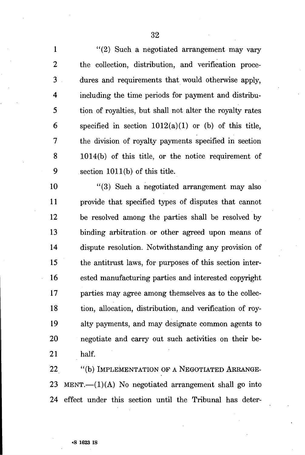1 "(2) Such a negotiated arrangement may vary 2 the collection, distribution, and verification proce-3 dures and requirements that would otherwise apply, 4 including the time periods for payment and distribu-5 tion of royalties, but shall not alter the royalty rates 6 specified in section  $1012(a)(1)$  or (b) of this title, 7 the division of royalty payments specified in section 8 1014(b) of this title, or the notice requirement of 9 section 1011(b) of this title.

10 "(3) Such a negotiated arrangement may also 11 provide that specified types of disputes that cannot 12 be resolved among the parties shall be resolved by 13 binding arbitration or other agreed upon means of 14 dispute resolution. Notwithstanding any provision of 15 the antitrust laws, for purposes of this section inter-16 ested manufacturing parties and interested copyright 17 parties may agree among themselves as to the collec-18 tion, allocation, distribution, and verification of roy-19 alty payments, and may designate common agents to 20 negotiate and carry out such activities on their be-21 half.

22 "(b) IMPLEMENTATION OF A NEGOTIATED ARRANGE-23 MENT.— $(1)(A)$  No negotiated arrangement shall go into 24 effect under this section until the Tribunal has deter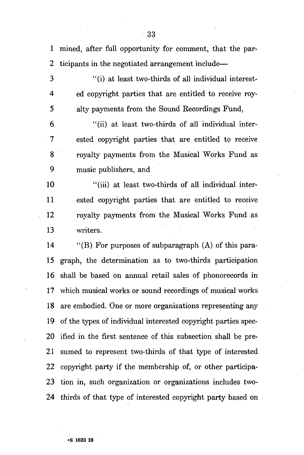1 mined, after full opportunity for comment, that the par-2 ticipants in the negotiated arrangement include—

3 "(i) at least two-thirds of all individual interest-4 ed copyright parties that are entitled to receive roy-5 alty payments from the Sound Recordings Fund,

6 "(ii) at least two-thirds of all individual inter-7 ested copyright parties that are entitled to receive 8 royalty payments from the Musical Works Fund as 9 music publishers, and

10 "(iii) at least two-thirds of all individual inter-11 ested copyright parties that are entitled to receive 12 royalty payments from the Musical Works Fund as 13 writers.

14 "(B) For purposes of subparagraph (A) of this para-15 graph, the determination as to two-thirds participation 16 shall be based on annual retail sales of phonorecords in 17 which musical works or sound recordings of musical works 18 are embodied. One or more organizations representing any 19 of the types of individual interested copyright parties spec-20 ified in the first sentence of this subsection shall be pre-21 sumed to represent two-thirds of that type of interested 22 copyright party if the membership of, or other participa-23 tion in, such organization or organizations includes two-24 thirds of that type of interested copyright party based on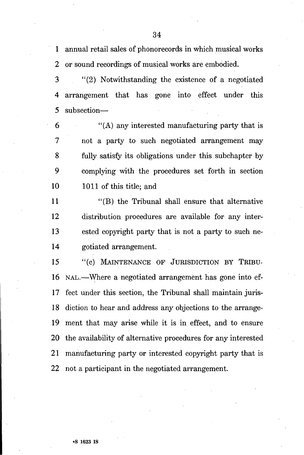1 annual retail sales of phonorecords in which musical works 2 or sound recordings of musical works are embodied.

3 "(2) Notwithstanding the existence of a negotiated 4 arrangement that has gone into effect under this 5 subsection—

 $(6)$  "(A) any interested manufacturing party that is 7 not a party to such negotiated arrangement may 8 fully satisfy its obligations under this subchapter by 9 complying with the procedures set forth in section 10 1011 of this title; and

11 "(B) the Tribunal shall ensure that alternative 12 distribution procedures are available for any inter-13 ested copyright party that is not a party to such ne-14 gotiated arrangement.

15 "(c) MAINTENANCE OF JURISDICTION BY TRIBU-16 NAL.—Where a negotiated arrangement has gone into ef-17 feet under this section, the Tribunal shall maintain juris-18 diction to hear and address any objections to the arrange-19 ment that may arise while it is in effect, and to ensure 20 the availability of alternative procedures for any interested 21 manufacturing party or interested copyright party that is 22 not a participant in the negotiated arrangement.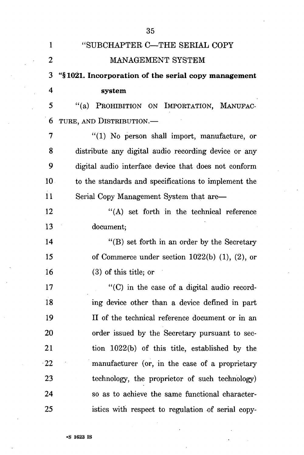|                         | 35                                                   |
|-------------------------|------------------------------------------------------|
| $\mathbf{1}$            | "SUBCHAPTER C-THE SERIAL COPY                        |
| $\overline{2}$          | MANAGEMENT SYSTEM                                    |
| 3                       | "§1021. Incorporation of the serial copy management  |
| $\overline{\mathbf{4}}$ | system                                               |
| 5                       | "(a) PROHIBITION ON IMPORTATION, MANUFAC-            |
| 6                       | TURE, AND DISTRIBUTION.-                             |
| 7                       | "(1) No person shall import, manufacture, or         |
| 8                       | distribute any digital audio recording device or any |
| 9                       | digital audio interface device that does not conform |
| 10 <sub>1</sub>         | to the standards and specifications to implement the |
| 11                      | Serial Copy Management System that are—              |
| 12                      | "(A) set forth in the technical reference            |
| 13                      | document;                                            |
| 14                      | "(B) set forth in an order by the Secretary"         |
| 15                      | of Commerce under section $1022(b)$ (1), (2), or     |
| 16                      | $(3)$ of this title; or                              |
| 17                      | "(C) in the case of a digital audio record-          |
| 18                      | ing device other than a device defined in part       |
| 19                      | II of the technical reference document or in an      |
| 20                      | order issued by the Secretary pursuant to sec-       |
| 21                      | tion 1022(b) of this title, established by the       |
| 22                      | manufacturer (or, in the case of a proprietary       |
| 23                      | technology, the proprietor of such technology)       |
| 24                      | so as to achieve the same functional character-      |
| 25                      | istics with respect to regulation of serial copy-    |

**'s 1623 is**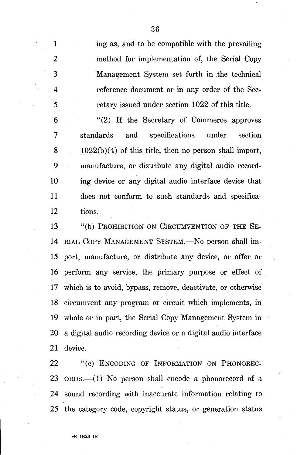1 ing as, and to be compatible with the prevailing 2 method for implementation of, the Serial Copy 3 Management System set forth in the technical 4 reference document or in any order of the Sec-5 retary issued under section 1022 of this title.

6 "(2) If the Secretary of Commerce approves 7 standards and specifications under section 8 1022(b)(4) of this title, then no person shall import, 9 manufacture, or distribute any digital audio record-10 ing device or any digital audio interface device that 11 does not conform to such standards and specifica-12 tions.

13 "(b) PROHIBITION ON CIRCUMVENTION OF THE SE-14 RIAL COPY MANAGEMENT SYSTEM.—No person shall im-15 port, manufacture, or distribute any device, or offer or 16 perform any service, the primary purpose or effect of 17 which is to avoid, bypass, remove, deactivate, or otherwise 18 circumvent any program or circuit which implements, in 19 whole or in part, the Serial Copy Management System in 20 a digital audio recording device or a digital audio interface 21 device.

22 "(c) ENCODING OF INFORMATION ON PHONOREC-23 ORDS.—(1) No person shall encode a phonorecord of a 24 sound recording with inaccurate information relating to 25 the category code, copyright status, or generation status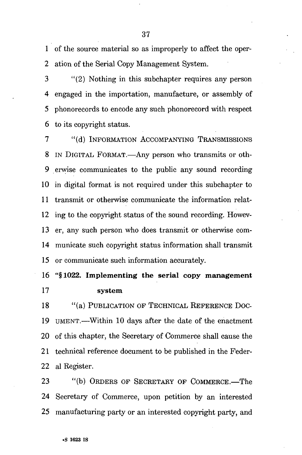1 of the source material so as improperly to affect the oper-2 ation of the Serial Copy Management System.

3 "(2) Nothing in this subchapter requires any person 4 engaged in the importation, manufacture, or assembly of 5 phonorecords to encode any such phonorecord with respect 6 to its copyright status.

7 "(d) INFORMATION ACCOMPANYING TRANSMISSIONS 8 IN DIGITAL FORMAT.—Any person who transmits or oth-9 erwise communicates to the public any sound recording 10 in digital format is not required under this subchapter to 11 transmit or otherwise communicate the information relat-12 ing to the copyright status of the sound recording. Howev-13 er, any such person who does transmit or otherwise com-14 municate such copyright status information shall transmit 15 or communicate such information accurately.

16 "§1022. Implementing the serial copy management 17 system

18 "(a) PUBLICATION OF TECHNICAL REFERENCE DOC-19 UMENT.—Within 10 days after the date of the enactment 20 of this chapter, the Secretary of Commerce shall cause the 21 technical reference document to be published in the Feder-22 al Register.

23 "(b) ORDERS OF SECRETARY OF COMMERCE.—The 24 Secretary of Commerce, upon petition by an interested 25 manufacturing party or an interested copyright party, and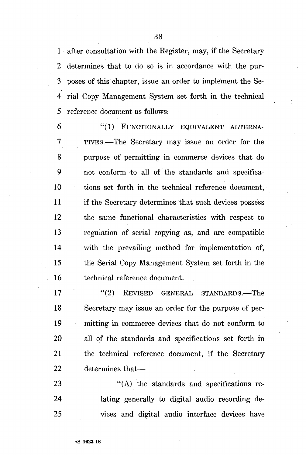1 after consultation with the Register, may, if the Secretary 2 determines that to do so is in accordance with the pur-3 poses of this chapter, issue an order to implement the Se-4 rial Copy Management System set forth in the technical 5 reference document as follows:

6 "(1) FUNCTIONALLY EQUIVALENT ALTERNA-7 TIVES.—The Secretary may issue an order for the 8 purpose of permitting in commerce devices that do 9 not conform to all of the standards and specifica-10 tions set forth in the technical reference document, 11 if the Secretary determines that such devices possess 12 the same functional characteristics with respect to 13 regulation of serial copying as, and are compatible 14 with the prevailing method for implementation of, 15 the Serial Copy Management System set forth in the 16 technical reference document.

17 "(2) REVISED GENERAL STANDARDS.—The 18 Secretary may issue an order for the purpose of per-19 mitting in commerce devices that do not conform to 20 all of the standards and specifications set forth in 21 the technical reference document, if the Secretary 22 determines that—

23 "(A) the standards and specifications re-24 lating generally to digital audio recording de-25 vices and digital audio interface devices have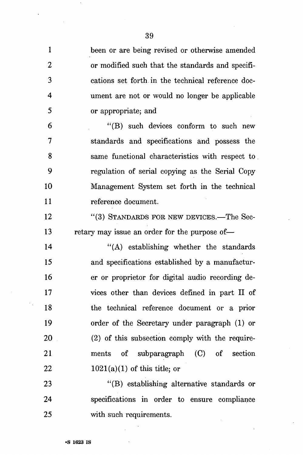| 1              | been or are being revised or otherwise amended    |
|----------------|---------------------------------------------------|
| 2              | or modified such that the standards and specifi-  |
| 3              | cations set forth in the technical reference doc- |
| 4              | ument are not or would no longer be applicable    |
| 5              | or appropriate; and                               |
| 6              | "(B) such devices conform to such new             |
| $\overline{7}$ | standards and specifications and possess the      |
| 8              | same functional characteristics with respect to   |
| 9              | regulation of serial copying as the Serial Copy   |
| 10             | Management System set forth in the technical      |
| 11             | reference document.                               |
| 12             | "(3) STANDARDS FOR NEW DEVICES.—The Sec-          |
| 13             | retary may issue an order for the purpose of—     |
| 14             | "(A) establishing whether the standards           |
| 15             | and specifications established by a manufactur-   |
| 16             | er or proprietor for digital audio recording de-  |
| 17             | vices other than devices defined in part II of    |
| 18             | the technical reference document or a prior       |
| 19             | order of the Secretary under paragraph (1) or     |
| 20             | (2) of this subsection comply with the require-   |
| 21             | ments of subparagraph (C) of section              |
| 22             | $1021(a)(1)$ of this title; or                    |
| 23             | "(B) establishing alternative standards or        |
| 24             | specifications in order to ensure compliance      |
| 25             | with such requirements.                           |

÷,

 $\ddot{\phantom{0}}$ 

 $\cdot$ 

 $\mathbb{R}^3$ 

 $\cdot$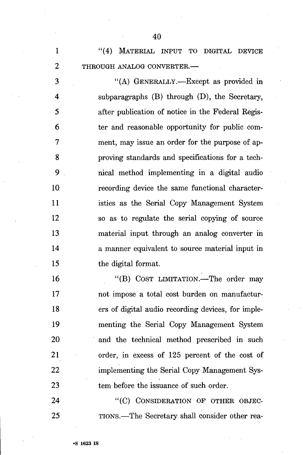1 "(4) MATERIAL INPUT TO DIGITAL DEVICE 2 THROUGH ANALOG CONVERTER.—

3 "(A) GENERALLY.—Except as provided in 4 subparagraphs (B) through (D), the Secretary, 5 after publication of notice in the Federal Regis-6 ter and reasonable opportunity for public com-7 ment, may issue an order for the purpose of ap-8 proving standards and specifications for a tech-9 nical method implementing in a digital audio 10 recording device the same functional character-11 istics as the Serial Copy Management System 12 so as to regulate the serial copying of source 13 material input through an analog converter in 14 a manner equivalent to source material input in 15 the digital format.

16 "(B) COST LIMITATION.—The order may 17 not impose a total cost burden on manufactur-18 ers of digital audio recording devices, for imple-19 menting the Serial Copy Management System 20 and the technical method prescribed in such 21 order, in excess of 125 percent of the cost of 22 implementing the Serial Copy Management Sys-23 tem before the issuance of such order.

24 "(C) CONSIDERATION OF OTHER OBJEC-25 TIONS.—The Secretary shall consider other rea-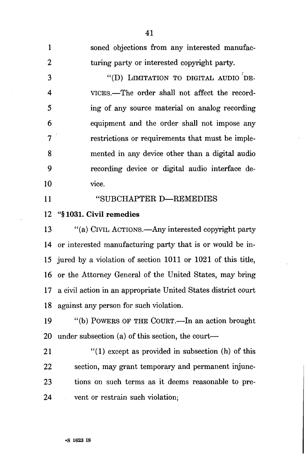| $\mathbf{1}$   | soned objections from any interested manufac-                                 |
|----------------|-------------------------------------------------------------------------------|
| $\overline{2}$ | turing party or interested copyright party.                                   |
| 3              | "(D) LIMITATION TO DIGITAL AUDIO DE-                                          |
| $\overline{4}$ | VICES.—The order shall not affect the record-                                 |
| 5              | ing of any source material on analog recording                                |
| 6              | equipment and the order shall not impose any                                  |
| $\overline{7}$ | restrictions or requirements that must be imple-                              |
| 8              | mented in any device other than a digital audio                               |
| 9              | recording device or digital audio interface de-                               |
| 10             | vice.                                                                         |
| 11             | "SUBCHAPTER D-REMEDIES                                                        |
| 12             | "§1031. Civil remedies                                                        |
| 13             | "(a) CIVIL ACTIONS.—Any interested copyright party                            |
| 14             | or interested manufacturing party that is or would be in-                     |
| 15             | jured by a violation of section 1011 or 1021 of this title,                   |
| 16             | or the Attorney General of the United States, may bring                       |
| 17             | a civil action in an appropriate United States district court                 |
| 18             | against any person for such violation.                                        |
| $\sim$         | $\mathcal{L}(1)$ Dougno on give $\Omega$ over $\mathbf{L}$ , or ester brought |

41

19 "(b) POWERS OF THE COURT.—In an action brought 20 under subsection (a) of this section, the court—

21 "(1) except as provided in subsection (h) of this 22 section, may grant temporary and permanent injunc-23 tions on such terms as it deems reasonable to pre-24 vent or restrain such violation;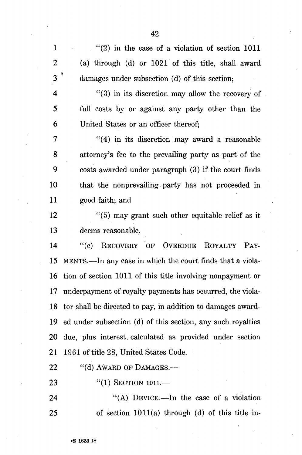1  $(2)$  in the case of a violation of section 1011 2 (a) through (d) or 1021 of this title, shall award 3<sup>3</sup> damages under subsection (d) of this section;

4 "(3) in its discretion may allow the recovery of 5 full costs by or against any party other than the 6 United States or an officer thereof;

7 "(4) in its discretion may award a reasonable 8 attorney's fee to the prevailing party as part of the 9 costs awarded under paragraph (3) if the court finds 10 that the nonprevailing party has not proceeded in 11 good faith; and

12 "(5) may grant such other equitable relief as it 13 deems reasonable.

14 "(c) RECOVERY OF OVERDUE ROYALTY PAY-15 MENTS.—In any case in which the court finds that a viola-16 tion of section 1011 of this title involving nonpayment or 17 underpayment of royalty payments has occurred, the viola-18 tor shall be directed to pay, in addition to damages award-19 ed under subsection (d) of this section, any such royalties 20 due, plus interest calculated as provided under section 21 1961 of title 28, United States Code.

22 "(d) AWARD OF DAMAGES.-

23 "(1) SECTION 1011.—

24 "(A) DEVICE.—In the case of a violation 25 of section 1011(a) through (d) of this title in-

**•S 1623 is**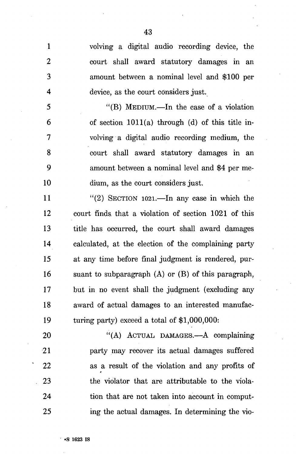1 volving a digital audio recording device, the 2 court shall award statutory damages in an 3 amount between a nominal level and \$100 per 4 device, as the court considers just.

5 "(B) MEDIUM.—In the case of a violation  $6 \tof section 1011(a) through (d) of this title in-$ 7 volving a digital audio recording medium, the 8 court shall award statutory damages in an 9 amount between a nominal level and \$4 per me-10 dium, as the court considers just.

11  $(2)$  SECTION 1021.—In any case in which the 12 court finds, that a violation of section 1021 of this 13 title has occurred, the court shall award damages 14 calculated, at the election of the complaining party 15 at any time before final judgment is rendered, pur-16 suant to subparagraph (A) or (B) of this paragraph, 17 but in no event shall the judgment (excluding any 18 award of actual damages to an interested manufac-19 turing party) exceed a total of \$1,000,000:

20 "(A) ACTUAL DAMAGES.—A complaining 21 party may recover its actual damages suffered 22 as a result of the violation and any profits of 23 the violator that are attributable to the viola-24 tion that are not taken into account in comput-25 ing the actual damages. In determining the vio-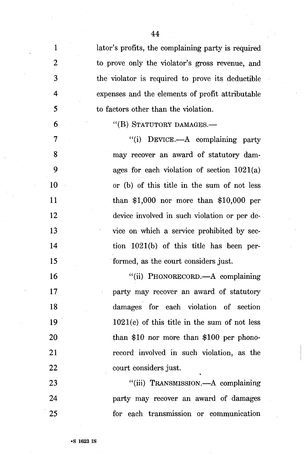| $\mathbf{1}$     | lator's profits, the complaining party is required |
|------------------|----------------------------------------------------|
| $\overline{2}$   | to prove only the violator's gross revenue, and    |
| $\mathbf{3}$     | the violator is required to prove its deductible   |
| $\boldsymbol{4}$ | expenses and the elements of profit attributable   |
| 5                | to factors other than the violation.               |
| 6                | "(B) STATUTORY DAMAGES.-                           |
| 7                | "(i) DEVICE.—A complaining party                   |
| 8                | may recover an award of statutory dam-             |
| 9                | ages for each violation of section $1021(a)$       |
| 10               | or (b) of this title in the sum of not less        |
| 11               | than $$1,000$ nor more than $$10,000$ per          |
| 12               | device involved in such violation or per de-       |
| 13               | vice on which a service prohibited by sec-         |
| 14               | tion $1021(b)$ of this title has been per-         |
| 15               | formed, as the court considers just.               |
| 16               | "(ii) PHONORECORD.—A complaining                   |
| 17               | party may recover an award of statutory            |
| 18               | damages for each violation of section              |
| 19               | $1021(c)$ of this title in the sum of not less     |
| 20               | than $$10$ nor more than $$100$ per phono-         |
| 21               | record involved in such violation, as the          |
| 22               | court considers just.                              |
| 23               | "(iii) TRANSMISSION.—A complaining                 |
| 24               | party may recover an award of damages              |
| 25               | for each transmission or communication             |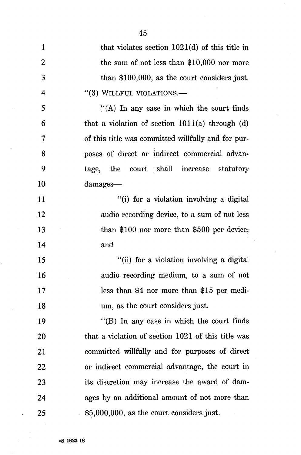| $\mathbf{1}$   | that violates section $1021(d)$ of this title in    |
|----------------|-----------------------------------------------------|
| $\overline{2}$ | the sum of not less than $$10,000$ nor more         |
| 3              | than $$100,000$ , as the court considers just.      |
| 4              | "(3) WILLFUL VIOLATIONS.-                           |
| 5              | $\cdot$ (A) In any case in which the court finds    |
| 6              | that a violation of section $1011(a)$ through $(d)$ |
| 7              | of this title was committed willfully and for pur-  |
| 8              | poses of direct or indirect commercial advan-       |
| 9              | tage, the court shall increase statutory            |
| 10             | damages—                                            |
| 11             | "(i) for a violation involving a digital            |
| 12             | audio recording device, to a sum of not less        |
| 13             | than $$100$ nor more than $$500$ per device;        |
| 14             | and                                                 |
| 15             | "(ii) for a violation involving a digital           |
| 16             | audio recording medium, to a sum of not             |
| 17             | less than \$4 nor more than \$15 per medi-          |
| 18             | um, as the court considers just.                    |
| 19             | $\lq$ (B) In any case in which the court finds      |
| 20             | that a violation of section 1021 of this title was  |
| 21             | committed willfully and for purposes of direct      |
| 22             | or indirect commercial advantage, the court in      |
| 23             | its discretion may increase the award of dam-       |
| 24             | ages by an additional amount of not more than       |
| 25             | $$5,000,000$ , as the court considers just.         |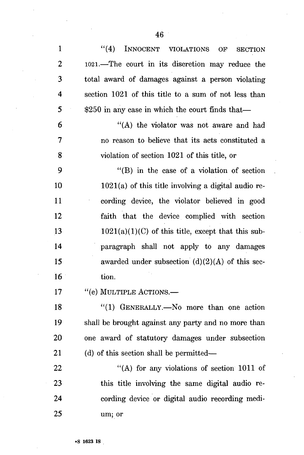| $\mathbf{1}$   | ``(4)<br>INNOCENT VIOLATIONS<br>OF<br><b>SECTION</b>  |
|----------------|-------------------------------------------------------|
| $\overline{2}$ | 1021.—The court in its discretion may reduce the      |
| 3              | total award of damages against a person violating     |
| 4              | section 1021 of this title to a sum of not less than  |
| 5              | $$250$ in any case in which the court finds that—     |
| 6              | "(A) the violator was not aware and had               |
| 7              | no reason to believe that its acts constituted a      |
| 8              | violation of section 1021 of this title, or           |
| 9              | $\lq\lq$ (B) in the case of a violation of section    |
| 10             | $1021(a)$ of this title involving a digital audio re- |
| 11             | cording device, the violator believed in good         |
| 12             | faith that the device complied with section           |
| 13             | $1021(a)(1)(C)$ of this title, except that this sub-  |
| 14             | paragraph shall not apply to any damages              |
| 15             | awarded under subsection $(d)(2)(A)$ of this sec-     |
| 16             | tion.                                                 |
| 17             | "(e) MULTIPLE ACTIONS.-                               |
| 18             | "(1) GENERALLY.-No more than one action               |
| 19             | shall be brought against any party and no more than   |
| 20             | one award of statutory damages under subsection       |
| 21             | (d) of this section shall be permitted—               |
| 22             | "(A) for any violations of section 1011 of            |
| 23             | this title involving the same digital audio re-       |
| 24             | cording device or digital audio recording medi-       |
| 25             | um; or                                                |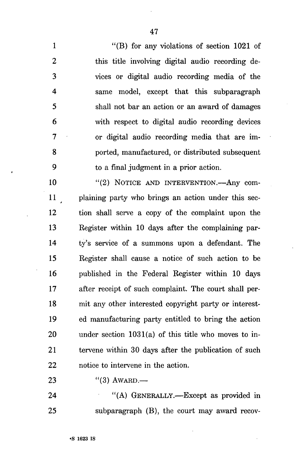1 "(B) for any violations of section 1021 of 2 this title involving digital audio recording de-3 vices or digital audio recording media of the 4 same model, except that this subparagraph 5 shall not bar an action or an award of damages 6 with respect to digital audio recording devices 7 or digital audio recording media that are im-8 ported, manufactured, or distributed subsequent 9 to a final judgment in a prior action.

10 "(2) NOTICE AND INTERVENTION.—Any com-11 plaining party who brings an action under this sec-12 tion shall serve a copy of the complaint upon the 13 Register within 10 days after the complaining par-14 ty's service of a summons upon a defendant. The 15 Register shall cause a notice of such action to be 16 published in the Federal Register within 10 days 17 after receipt of such complaint. The court shall per-18 mit any other interested copyright party or interest-19 ed manufacturing party entitled to bring the action 20 under section 1031(a) of this title who moves to in-21 tervene within 30 days after the publication of such 22 notice to intervene in the action.

23 "(3) AWARD.—

24 "(A) GENERALLY.—Except as provided in 25 subparagraph (B), the court may award recov-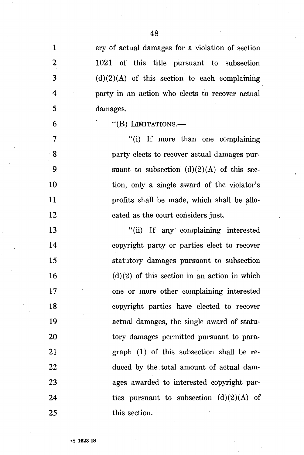| 1                       | ery of actual damages for a violation of section |
|-------------------------|--------------------------------------------------|
| $\boldsymbol{2}$        | 1021 of this title pursuant to subsection        |
| 3                       | $(d)(2)(A)$ of this section to each complaining  |
| $\overline{\mathbf{4}}$ | party in an action who elects to recover actual  |
| 5                       | damages.                                         |
| 6                       | "(B) LIMITATIONS.-                               |
| $\overline{7}$          | "(i) If more than one complaining                |
| 8                       | party elects to recover actual damages pur-      |
| 9                       | suant to subsection $(d)(2)(A)$ of this sec-     |
| 10                      | tion, only a single award of the violator's      |
| 11                      | profits shall be made, which shall be allo-      |
| 12                      | cated as the court considers just.               |
| 13                      | "(ii) If any complaining interested              |
| 14                      | copyright party or parties elect to recover      |
| 15                      | statutory damages pursuant to subsection         |
| 16                      | $(d)(2)$ of this section in an action in which   |
| 17                      | one or more other complaining interested         |
| 18                      | copyright parties have elected to recover        |
| 19                      | actual damages, the single award of statu-       |
| 20                      | tory damages permitted pursuant to para-         |
| 21                      | graph (1) of this subsection shall be re-        |
| 22                      | duced by the total amount of actual dam-         |
| 23                      | ages awarded to interested copyright par-        |
| 24                      | ties pursuant to subsection $(d)(2)(A)$ of       |
| 25                      | this section.                                    |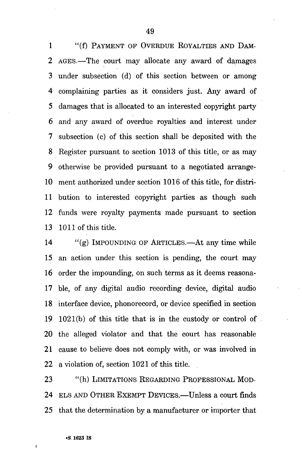1 "(f) PAYMENT OF OVERDUE ROYALTIES AND DAM-2 AGES.—The court may allocate any award of damages 3 under subsection (d) of this section between or among 4 complaining parties as it considers just. Any award of 5 damages that is allocated to an interested copyright party 6 and any award of overdue royalties and interest under 7 subsection (c) of this section shall be deposited with the 8 Register pursuant to section 1013 of this title, or as may 9 otherwise be provided pursuant to a negotiated arrange-10 ment authorized under section 1016 of this title, for distri-11 bution to interested copyright parties as though such 12 funds were royalty payments made pursuant to section 13 1011 of this title.

14 "(g) IMPOUNDING OF ARTICLES.—At any time while 15 an action under this section is pending, the court may 16 order the impounding, on such terms as it deems reasona-17 ble, of any digital audio recording device, digital audio 18 interface device, phonorecord, or device specified in section 19 1021(b) of this title that is in the custody or control of 20 the alleged violator and that the court has reasonable 21 cause to believe does not comply with, or was involved in 22 a violation of, section 1021 of this title.

23 "(h) LIMITATIONS REGARDING PROFESSIONAL MOD-24 ELS AND OTHER EXEMPT DEVICES.—Unless a court finds 25 that the determination by a manufacturer or importer that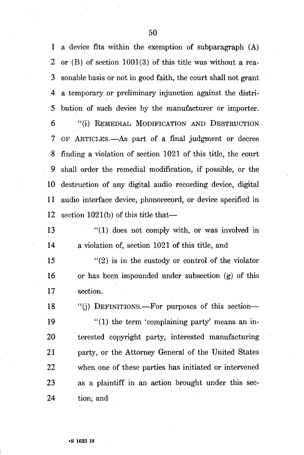1 a device fits within the exemption of subparagraph (A) 2 or (B) of section 1001(3) of this title was without a rea-3 sonable basis or not in good faith, the court shall not grant 4 a temporary or preliminary injunction against the distri-5 bution of such device by the manufacturer or importer. 6 "(i) REMEDIAL MODIFICATION AND DESTRUCTION 7 OF ARTICLES.—As part of a final judgment or decree 8 finding a violation of section 1021 of this title, the court 9 shall order the remedial modification, if possible, or the 10 destruction of any digital audio recording device, digital 11 audio interface device, phonorecord, or device specified in 12 section 1021(b) of this title that—

13 "(1) does not comply with, or was involved in 14 a violation of, section 1021 of this title, and

15  $\frac{1}{2}$  (2) is in the custody or control of the violator 16 or has been impounded under subsection (g) of this 17 section.

18 "(j) DEFINITIONS.—For purposes of this section—

19 "(1) the term 'complaining party' means an in-20 terested copyright party, interested manufacturing 21 party, or the Attorney General of the United States 22 when one of these parties has initiated or intervened 23 as a plaintiff in an action brought under this see-24 tion; and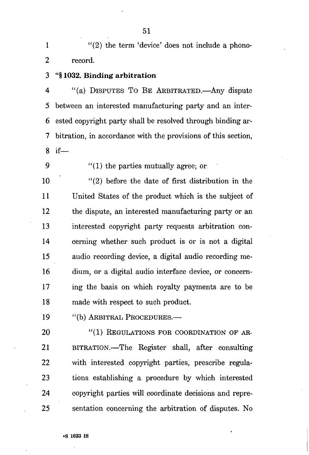1 "(2) the term 'device' does not include a phono-2 record.

3 "§ 1032. Binding arbitration

4 "(a) DISPUTES TO BE ARBITRATED.—Any dispute 5 between an interested manufacturing party and an inter-6 ested copyright party shall be resolved through binding ar-7 bitration, in accordance with the provisions of this section, 8 if—

9  $(1)$  the parties mutually agree; or

10 "(2) before the date of first distribution in the 11 United States of the product which is the subject of 12 the dispute, an interested manufacturing party or an 13 interested copyright party requests arbitration con-14 cerning whether such product is or is not a digital 15 audio recording device, a digital audio recording me-16 dium, or a digital audio interface device, or concern-17 ing the basis on which royalty payments are to be 18 made with respect to such product.

19 "(b) ARBITRAL PROCEDURES.—

20 "(1) REGULATIONS FOR COORDINATION OF AR-21 BITRATION.—The Register shall, after consulting 22 with interested copyright parties, prescribe regula-23 tions establishing a procedure by which interested 24 copyright parties will coordinate decisions and repre-25 sentation concerning the arbitration of disputes. No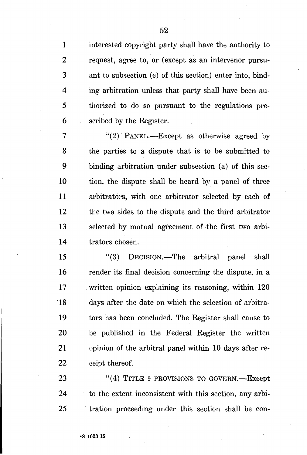1 interested copyright party shall have the authority to 2 request, agree to, or (except as an intervenor pursu-3 ant to subsection (c) of this section) enter into, bind-4 ing arbitration unless that party shall have been au-5 thorized to do so pursuant to the regulations pre-6 scribed by the Register.

7 "(2) PANEL.—Except as otherwise agreed by 8 the parties to a dispute that is to be submitted to 9 binding arbitration under subsection (a) of this sec-10 tion, the dispute shall be heard by a panel of three 11 arbitrators, with one arbitrator selected by each of 12 the two sides to the dispute and the third arbitrator 13 selected by mutual agreement of the first two arbi-14 trators chosen.

15 "(3) DECISION.—The arbitral panel shall 16 render its final decision concerning the dispute, in a 17 written opinion explaining its reasoning, within 120 18 days after the date on which the selection of arbitra-19 tors has been concluded. The Register shall cause to 20 be published in the Federal Register the written 21 opinion of the arbitral panel within 10 days after re-22 ceipt thereof.

23 "(4) TITLE 9 PROVISIONS TO GOVERN.—Except 24 to the extent inconsistent with this section, any arbi-25 tration proceeding under this section shall be con-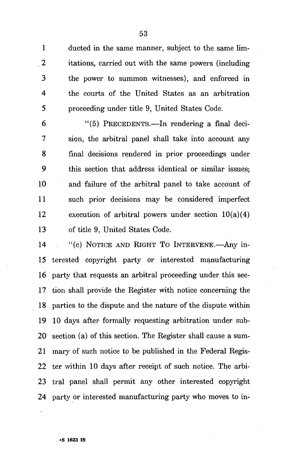1 ducted in the same manner, subject to the same lim-2 itations, carried out with the same powers (including 3 the power to summon witnesses), and enforced in 4 the courts of the United States as an arbitration 5 proceeding under title 9, United States Code.

6 "(5) PRECEDENTS.—In rendering a final deci-7 sion, the arbitral panel shall take into account any 8 final decisions rendered in prior proceedings under 9 this section that address identical or similar issues; 10 and failure of the arbitral panel to take account of 11 such prior decisions may be considered imperfect 12 execution of arbitral powers under section  $10(a)(4)$ 13 of title 9, United States Code.

14 "(c) NOTICE AND RIGHT TO INTERVENE.—Any in-15 terested copyright party or interested manufacturing 16 party that requests an arbitral proceeding under this sec-17 tion shall provide the Register with notice concerning the 18 parties to the dispute and the nature of the dispute within 19 10 days after formally requesting arbitration under sub-20 section (a) of this section. The Register shall cause a sum-21 mary of such notice to be published in the Federal Regis-22 ter within 10 days after receipt of such notice. The arbi-23 tral panel shall permit any other interested copyright 24 party or interested manufacturing party who moves to in-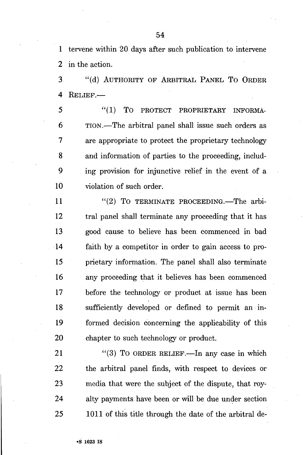1 tervene within 20 days after such publication to intervene 2 in the action.

3 "(d) AUTHORITY OF ARBITRAL PANEL TO ORDER 4 RELIEF.—

5  $(1)$  TO PROTECT PROPRIETARY INFORMA-6 TION.—The arbitral panel shall issue such orders as 7 are appropriate to protect the proprietary technology 8 and information of parties to the proceeding, includ-9 ing provision for injunctive relief in the event of a 10 violation of such order.

11 "(2) To TERMINATE PROCEEDING.—The arbi-12 tral panel shall terminate any proceeding that it has 13 good cause to believe has been commenced in bad 14 faith by a competitor in order to gain access to pro-15 prietary information. The panel shall also terminate 16 any proceeding that it believes has been commenced 17 before the technology or product at issue has been 18 sufficiently developed or defined to permit an in-19 formed decision concerning the applicability of this 20 chapter to such technology or product.

21 "(3) To ORDER RELIEF.—In any case in which 22 the arbitral panel finds, with respect to devices or 23 media that were the subject of the dispute, that roy-24 alty payments have been or will be due under section 25 1011 of this title through the date of the arbitral de-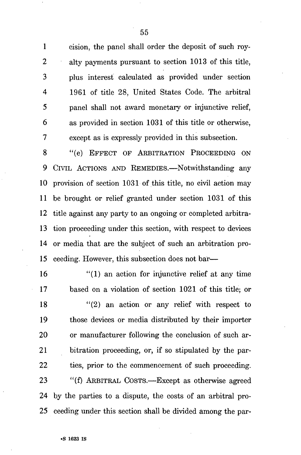1 cision, the panel shall order the deposit of such roy-2 alty payments pursuant to section 1013 of this title, 3 plus interest calculated as provided under section 4 1961 of title 28, United States Code. The arbitral 5 panel shall not award monetary or injunctive relief, 6 as provided in section 1031 of this title or otherwise, 7 except as is expressly provided in this subsection.

8 "(e) EFFECT OF ARBITRATION PROCEEDING ON 9 CIVIL ACTIONS AND REMEDIES.—Notwithstanding any 10 provision of section 1031 of this title, no civil action may 11 be brought or relief granted under section 1031 of this 12 title against any party to an ongoing or completed arbitra-13 tion proceeding under this section, with respect to devices 14 or media that are the subject of such an arbitration pro-15 ceeding. However, this subsection does not bar—

16 "(1) an action for injunctive relief at any time 17 based on a violation of section 1021 of this title; or  $18$  "(2) an action or any relief with respect to 19 those devices or media distributed by their importer 20 or manufacturer following the conclusion of such ar-21 bitration proceeding, or, if so stipulated by the par-22 ties, prior to the commencement of such proceeding. 23 "(f) ARBITRAL COSTS.—Except as otherwise agreed 24 by the parties to a dispute, the costs of an arbitral pro-25 ceeding under this section shall be divided among the par-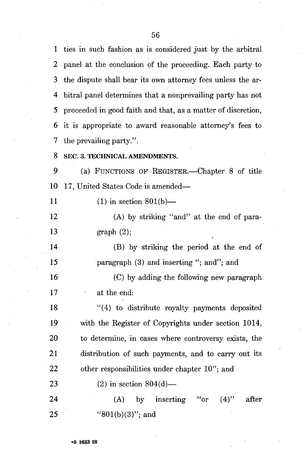1 ties in such fashion as is considered just by the arbitral 2 panel at the conclusion of the proceeding. Each party to 3 the dispute shall bear its own attorney fees unless the ar-4 bitral panel determines that a nonprevailing party has not 5 proceeded in good faith and that, as a matter of discretion, 6 it is appropriate to award reasonable attorney's fees to 7 the prevailing party.".

# 8 SEC. 3. TECHNICAL AMENDMENTS.

9 (a) FUNCTIONS OF REGISTER.—Chapter 8 of title 10 17, United States Code is amended—

11 (1) in section  $801(b)$ —

12 (A) by striking "and" at the end of para-13 graph (2);

14 (B) by striking the period at the end of 15 paragraph (3) and inserting "; and"; and

16 (C) by adding the following new paragraph 17 at the end:

18 "(4) to distribute royalty payments deposited 19 with the Register of Copyrights under section 1014, 20 to determine, in cases where controversy exists, the 21 distribution of such payments, and to carry out its 22 other responsibilities under chapter 10"; and

23 (2) in section  $804(d)$ —

24 (A) by inserting "or (4)" after 25 "801(b)(3)"; and